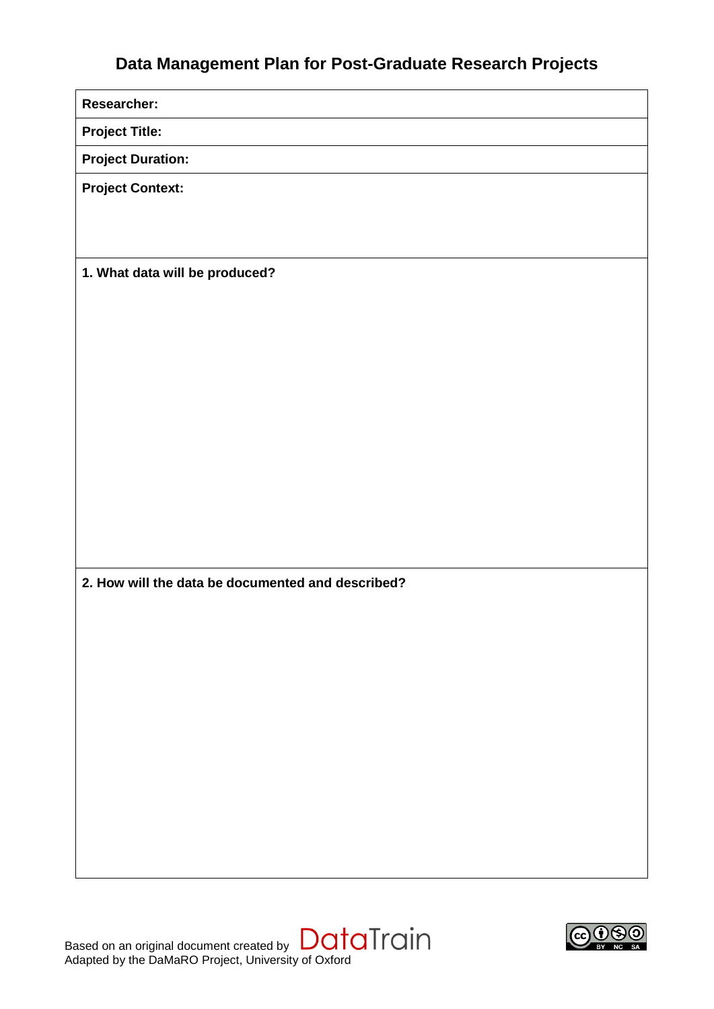# **Data Management Plan for Post-Graduate Research Projects**

**Researcher:**

**Project Title:**

**Project Duration:**

**Project Context:**

**1. What data will be produced?**

**2. How will the data be documented and described?**

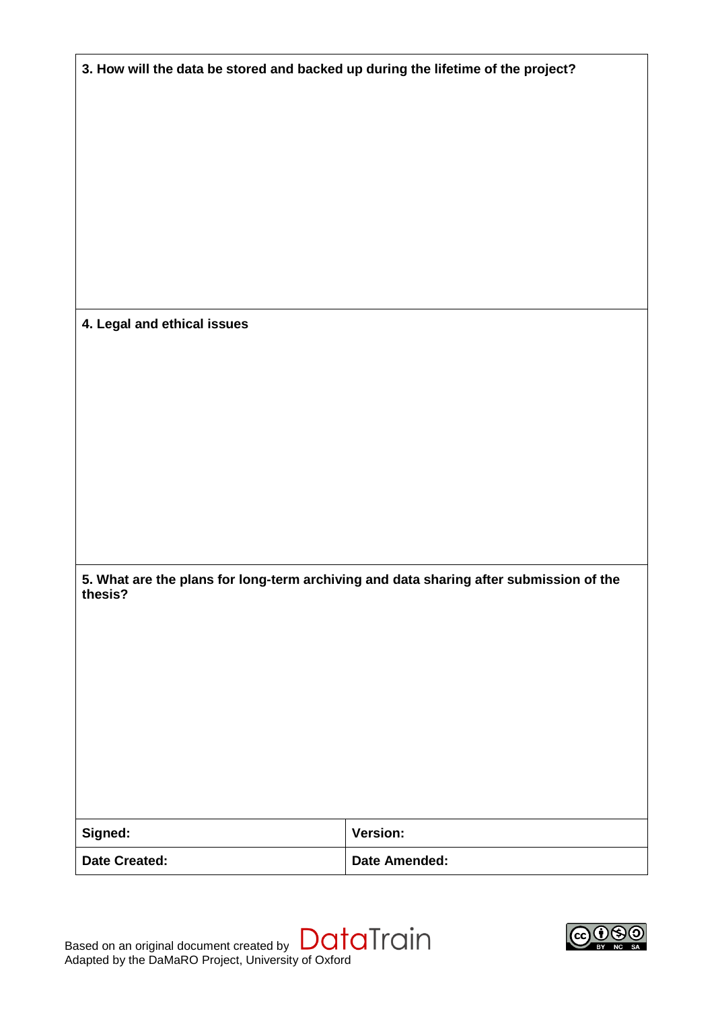| 3. How will the data be stored and backed up during the lifetime of the project?                  |                      |
|---------------------------------------------------------------------------------------------------|----------------------|
|                                                                                                   |                      |
|                                                                                                   |                      |
|                                                                                                   |                      |
|                                                                                                   |                      |
|                                                                                                   |                      |
|                                                                                                   |                      |
|                                                                                                   |                      |
|                                                                                                   |                      |
|                                                                                                   |                      |
| 4. Legal and ethical issues                                                                       |                      |
|                                                                                                   |                      |
|                                                                                                   |                      |
|                                                                                                   |                      |
|                                                                                                   |                      |
|                                                                                                   |                      |
|                                                                                                   |                      |
|                                                                                                   |                      |
|                                                                                                   |                      |
| 5. What are the plans for long-term archiving and data sharing after submission of the<br>thesis? |                      |
|                                                                                                   |                      |
|                                                                                                   |                      |
|                                                                                                   |                      |
|                                                                                                   |                      |
|                                                                                                   |                      |
|                                                                                                   |                      |
|                                                                                                   |                      |
|                                                                                                   |                      |
| Signed:                                                                                           | <b>Version:</b>      |
| <b>Date Created:</b>                                                                              | <b>Date Amended:</b> |